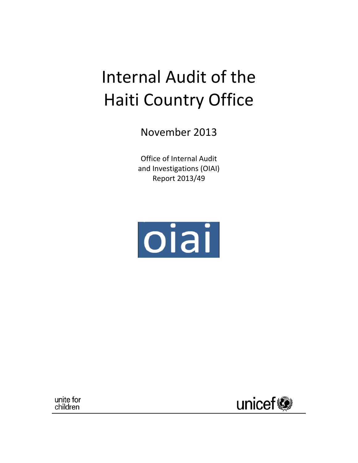# Internal Audit of the Haiti Country Office

November 2013

Office of Internal Audit and Investigations (OIAI) Report 2013/49



unite for children

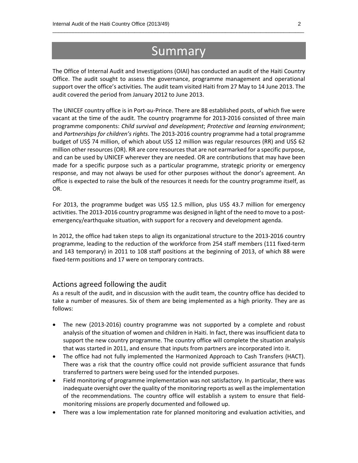### Summary

 $\overline{\phantom{a}}$  ,  $\overline{\phantom{a}}$  ,  $\overline{\phantom{a}}$  ,  $\overline{\phantom{a}}$  ,  $\overline{\phantom{a}}$  ,  $\overline{\phantom{a}}$  ,  $\overline{\phantom{a}}$  ,  $\overline{\phantom{a}}$  ,  $\overline{\phantom{a}}$  ,  $\overline{\phantom{a}}$  ,  $\overline{\phantom{a}}$  ,  $\overline{\phantom{a}}$  ,  $\overline{\phantom{a}}$  ,  $\overline{\phantom{a}}$  ,  $\overline{\phantom{a}}$  ,  $\overline{\phantom{a}}$ 

The Office of Internal Audit and Investigations (OIAI) has conducted an audit of the Haiti Country Office. The audit sought to assess the governance, programme management and operational support over the office's activities. The audit team visited Haiti from 27 May to 14 June 2013. The audit covered the period from January 2012 to June 2013.

The UNICEF country office is in Port‐au‐Prince. There are 88 established posts, of which five were vacant at the time of the audit. The country programme for 2013‐2016 consisted of three main programme components: *Child survival and development*; *Protective and learning environment*; and *Partnerships for children's rights*. The 2013‐2016 country programme had a total programme budget of US\$ 74 million, of which about US\$ 12 million was regular resources (RR) and US\$ 62 million other resources (OR). RR are core resources that are not earmarked for a specific purpose, and can be used by UNICEF wherever they are needed. OR are contributions that may have been made for a specific purpose such as a particular programme, strategic priority or emergency response, and may not always be used for other purposes without the donor's agreement. An office is expected to raise the bulk of the resources it needs for the country programme itself, as OR.

For 2013, the programme budget was US\$ 12.5 million, plus US\$ 43.7 million for emergency activities. The 2013-2016 country programme was designed in light of the need to move to a postemergency/earthquake situation, with support for a recovery and development agenda.

In 2012, the office had taken steps to align its organizational structure to the 2013‐2016 country programme, leading to the reduction of the workforce from 254 staff members (111 fixed‐term and 143 temporary) in 2011 to 108 staff positions at the beginning of 2013, of which 88 were fixed-term positions and 17 were on temporary contracts.

### Actions agreed following the audit

As a result of the audit, and in discussion with the audit team, the country office has decided to take a number of measures. Six of them are being implemented as a high priority. They are as follows:

- The new (2013‐2016) country programme was not supported by a complete and robust analysis of the situation of women and children in Haiti. In fact, there was insufficient data to support the new country programme. The country office will complete the situation analysis that was started in 2011, and ensure that inputs from partners are incorporated into it.
- The office had not fully implemented the Harmonized Approach to Cash Transfers (HACT). There was a risk that the country office could not provide sufficient assurance that funds transferred to partners were being used for the intended purposes.
- Field monitoring of programme implementation was not satisfactory. In particular, there was inadequate oversight over the quality of the monitoring reports as well asthe implementation of the recommendations. The country office will establish a system to ensure that field‐ monitoring missions are properly documented and followed up.
- There was a low implementation rate for planned monitoring and evaluation activities, and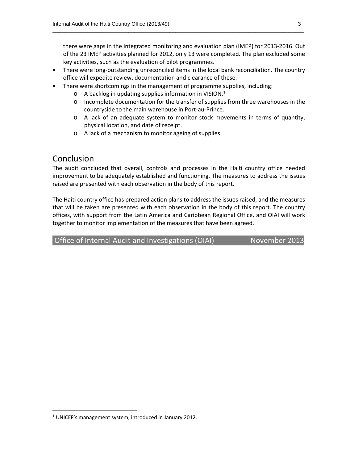there were gaps in the integrated monitoring and evaluation plan (IMEP) for 2013‐2016. Out of the 23 IMEP activities planned for 2012, only 13 were completed. The plan excluded some key activities, such as the evaluation of pilot programmes.

● There were long-outstanding unreconciled items in the local bank reconciliation. The country office will expedite review, documentation and clearance of these.

 $\overline{\phantom{a}}$  ,  $\overline{\phantom{a}}$  ,  $\overline{\phantom{a}}$  ,  $\overline{\phantom{a}}$  ,  $\overline{\phantom{a}}$  ,  $\overline{\phantom{a}}$  ,  $\overline{\phantom{a}}$  ,  $\overline{\phantom{a}}$  ,  $\overline{\phantom{a}}$  ,  $\overline{\phantom{a}}$  ,  $\overline{\phantom{a}}$  ,  $\overline{\phantom{a}}$  ,  $\overline{\phantom{a}}$  ,  $\overline{\phantom{a}}$  ,  $\overline{\phantom{a}}$  ,  $\overline{\phantom{a}}$ 

- There were shortcomings in the management of programme supplies, including:
	- $\circ$  A backlog in updating supplies information in VISION.<sup>1</sup>
	- $\circ$  Incomplete documentation for the transfer of supplies from three warehouses in the countryside to the main warehouse in Port‐au‐Prince.
	- o A lack of an adequate system to monitor stock movements in terms of quantity, physical location, and date of receipt.
	- o A lack of a mechanism to monitor ageing of supplies.

### Conclusion

The audit concluded that overall, controls and processes in the Haiti country office needed improvement to be adequately established and functioning. The measures to address the issues raised are presented with each observation in the body of this report.

The Haiti country office has prepared action plans to address the issues raised, and the measures that will be taken are presented with each observation in the body of this report. The country offices, with support from the Latin America and Caribbean Regional Office, and OIAI will work together to monitor implementation of the measures that have been agreed.

Office of Internal Audit and Investigations (OIAI) November 2013

<sup>&</sup>lt;sup>1</sup> UNICEF's management system, introduced in January 2012.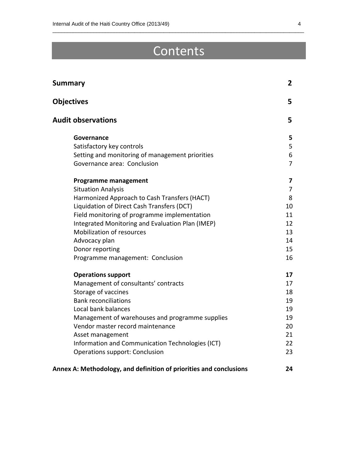# Contents

 $\overline{\phantom{a}}$  ,  $\overline{\phantom{a}}$  ,  $\overline{\phantom{a}}$  ,  $\overline{\phantom{a}}$  ,  $\overline{\phantom{a}}$  ,  $\overline{\phantom{a}}$  ,  $\overline{\phantom{a}}$  ,  $\overline{\phantom{a}}$  ,  $\overline{\phantom{a}}$  ,  $\overline{\phantom{a}}$  ,  $\overline{\phantom{a}}$  ,  $\overline{\phantom{a}}$  ,  $\overline{\phantom{a}}$  ,  $\overline{\phantom{a}}$  ,  $\overline{\phantom{a}}$  ,  $\overline{\phantom{a}}$ 

| <b>Summary</b>                                                     | $\mathbf{2}$            |
|--------------------------------------------------------------------|-------------------------|
| <b>Objectives</b>                                                  | 5                       |
| <b>Audit observations</b>                                          | 5                       |
| Governance                                                         | 5                       |
| Satisfactory key controls                                          | 5                       |
| Setting and monitoring of management priorities                    | 6                       |
| Governance area: Conclusion                                        | 7                       |
| <b>Programme management</b>                                        | $\overline{\mathbf{z}}$ |
| <b>Situation Analysis</b>                                          | $\overline{7}$          |
| Harmonized Approach to Cash Transfers (HACT)                       | 8                       |
| Liquidation of Direct Cash Transfers (DCT)                         | 10                      |
| Field monitoring of programme implementation                       | 11                      |
| Integrated Monitoring and Evaluation Plan (IMEP)                   | 12                      |
| <b>Mobilization of resources</b>                                   | 13                      |
| Advocacy plan                                                      | 14                      |
| Donor reporting                                                    | 15                      |
| Programme management: Conclusion                                   | 16                      |
| <b>Operations support</b>                                          | 17                      |
| Management of consultants' contracts                               | 17                      |
| Storage of vaccines                                                | 18                      |
| <b>Bank reconciliations</b>                                        | 19                      |
| Local bank balances                                                | 19                      |
| Management of warehouses and programme supplies                    | 19                      |
| Vendor master record maintenance                                   | 20                      |
| Asset management                                                   | 21                      |
| Information and Communication Technologies (ICT)                   | 22                      |
| <b>Operations support: Conclusion</b>                              | 23                      |
| Annex A: Methodology, and definition of priorities and conclusions | 24                      |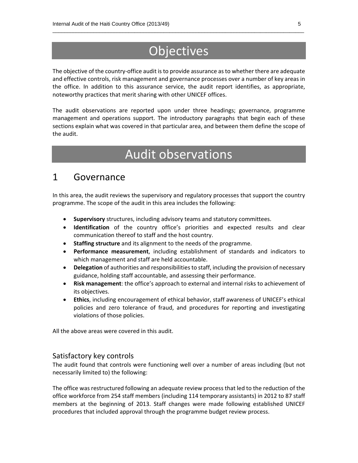## **Objectives**

 $\overline{\phantom{a}}$  ,  $\overline{\phantom{a}}$  ,  $\overline{\phantom{a}}$  ,  $\overline{\phantom{a}}$  ,  $\overline{\phantom{a}}$  ,  $\overline{\phantom{a}}$  ,  $\overline{\phantom{a}}$  ,  $\overline{\phantom{a}}$  ,  $\overline{\phantom{a}}$  ,  $\overline{\phantom{a}}$  ,  $\overline{\phantom{a}}$  ,  $\overline{\phantom{a}}$  ,  $\overline{\phantom{a}}$  ,  $\overline{\phantom{a}}$  ,  $\overline{\phantom{a}}$  ,  $\overline{\phantom{a}}$ 

The objective of the country-office audit is to provide assurance as to whether there are adequate and effective controls, risk management and governance processes over a number of key areas in the office. In addition to this assurance service, the audit report identifies, as appropriate, noteworthy practices that merit sharing with other UNICEF offices.

The audit observations are reported upon under three headings; governance, programme management and operations support. The introductory paragraphs that begin each of these sections explain what was covered in that particular area, and between them define the scope of the audit.

# Audit observations

### 1 Governance

In this area, the audit reviews the supervisory and regulatory processes that support the country programme. The scope of the audit in this area includes the following:

- **Supervisory** structures, including advisory teams and statutory committees.
- **Identification** of the country office's priorities and expected results and clear communication thereof to staff and the host country.
- **Staffing structure** and its alignment to the needs of the programme.
- **Performance measurement**, including establishment of standards and indicators to which management and staff are held accountable.
- **Delegation** of authorities and responsibilities to staff, including the provision of necessary guidance, holding staff accountable, and assessing their performance.
- **Risk management**: the office's approach to external and internal risks to achievement of its objectives.
- **Ethics**, including encouragement of ethical behavior, staff awareness of UNICEF's ethical policies and zero tolerance of fraud, and procedures for reporting and investigating violations of those policies.

All the above areas were covered in this audit.

### Satisfactory key controls

The audit found that controls were functioning well over a number of areas including (but not necessarily limited to) the following:

The office was restructured following an adequate review process that led to the reduction of the office workforce from 254 staff members (including 114 temporary assistants) in 2012 to 87 staff members at the beginning of 2013. Staff changes were made following established UNICEF procedures that included approval through the programme budget review process.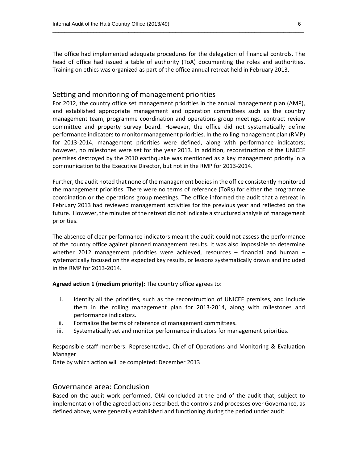The office had implemented adequate procedures for the delegation of financial controls. The head of office had issued a table of authority (ToA) documenting the roles and authorities. Training on ethics was organized as part of the office annual retreat held in February 2013.

 $\overline{\phantom{a}}$  ,  $\overline{\phantom{a}}$  ,  $\overline{\phantom{a}}$  ,  $\overline{\phantom{a}}$  ,  $\overline{\phantom{a}}$  ,  $\overline{\phantom{a}}$  ,  $\overline{\phantom{a}}$  ,  $\overline{\phantom{a}}$  ,  $\overline{\phantom{a}}$  ,  $\overline{\phantom{a}}$  ,  $\overline{\phantom{a}}$  ,  $\overline{\phantom{a}}$  ,  $\overline{\phantom{a}}$  ,  $\overline{\phantom{a}}$  ,  $\overline{\phantom{a}}$  ,  $\overline{\phantom{a}}$ 

### Setting and monitoring of management priorities

For 2012, the country office set management priorities in the annual management plan (AMP), and established appropriate management and operation committees such as the country management team, programme coordination and operations group meetings, contract review committee and property survey board. However, the office did not systematically define performance indicators to monitor management priorities. In the rolling management plan (RMP) for 2013-2014, management priorities were defined, along with performance indicators; however, no milestones were set for the year 2013. In addition, reconstruction of the UNICEF premises destroyed by the 2010 earthquake was mentioned as a key management priority in a communication to the Executive Director, but not in the RMP for 2013‐2014.

Further, the audit noted that none of the management bodiesin the office consistently monitored the management priorities. There were no terms of reference (ToRs) for either the programme coordination or the operations group meetings. The office informed the audit that a retreat in February 2013 had reviewed management activities for the previous year and reflected on the future. However, the minutes of the retreat did not indicate a structured analysis of management priorities.

The absence of clear performance indicators meant the audit could not assess the performance of the country office against planned management results. It was also impossible to determine whether 2012 management priorities were achieved, resources  $-$  financial and human  $$ systematically focused on the expected key results, or lessons systematically drawn and included in the RMP for 2013‐2014.

**Agreed action 1 (medium priority):** The country office agrees to:

- i. Identify all the priorities, such as the reconstruction of UNICEF premises, and include them in the rolling management plan for 2013‐2014, along with milestones and performance indicators.
- ii. Formalize the terms of reference of management committees.
- iii. Systematically set and monitor performance indicators for management priorities.

Responsible staff members: Representative, Chief of Operations and Monitoring & Evaluation Manager

Date by which action will be completed: December 2013

### Governance area: Conclusion

Based on the audit work performed, OIAI concluded at the end of the audit that, subject to implementation of the agreed actions described, the controls and processes over Governance, as defined above, were generally established and functioning during the period under audit.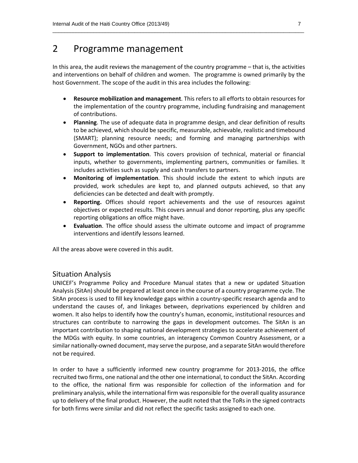### 2 Programme management

In this area, the audit reviews the management of the country programme – that is, the activities and interventions on behalf of children and women. The programme is owned primarily by the host Government. The scope of the audit in this area includes the following:

 $\overline{\phantom{a}}$  ,  $\overline{\phantom{a}}$  ,  $\overline{\phantom{a}}$  ,  $\overline{\phantom{a}}$  ,  $\overline{\phantom{a}}$  ,  $\overline{\phantom{a}}$  ,  $\overline{\phantom{a}}$  ,  $\overline{\phantom{a}}$  ,  $\overline{\phantom{a}}$  ,  $\overline{\phantom{a}}$  ,  $\overline{\phantom{a}}$  ,  $\overline{\phantom{a}}$  ,  $\overline{\phantom{a}}$  ,  $\overline{\phantom{a}}$  ,  $\overline{\phantom{a}}$  ,  $\overline{\phantom{a}}$ 

- **Resource mobilization and management**. This refers to all efforts to obtain resources for the implementation of the country programme, including fundraising and management of contributions.
- **Planning**. The use of adequate data in programme design, and clear definition of results to be achieved, which should be specific, measurable, achievable, realistic and timebound (SMART); planning resource needs; and forming and managing partnerships with Government, NGOs and other partners.
- **Support to implementation**. This covers provision of technical, material or financial inputs, whether to governments, implementing partners, communities or families. It includes activities such as supply and cash transfers to partners.
- **Monitoring of implementation**. This should include the extent to which inputs are provided, work schedules are kept to, and planned outputs achieved, so that any deficiencies can be detected and dealt with promptly.
- **Reporting.** Offices should report achievements and the use of resources against objectives or expected results. This covers annual and donor reporting, plus any specific reporting obligations an office might have.
- **Evaluation**. The office should assess the ultimate outcome and impact of programme interventions and identify lessons learned.

All the areas above were covered in this audit.

### Situation Analysis

UNICEF's Programme Policy and Procedure Manual states that a new or updated Situation Analysis (SitAn) should be prepared at least once in the course of a country programme cycle. The SitAn process is used to fill key knowledge gaps within a country‐specific research agenda and to understand the causes of, and linkages between, deprivations experienced by children and women. It also helps to identify how the country's human, economic, institutional resources and structures can contribute to narrowing the gaps in development outcomes. The SitAn is an important contribution to shaping national development strategies to accelerate achievement of the MDGs with equity. In some countries, an interagency Common Country Assessment, or a similar nationally‐owned document, may serve the purpose, and a separate SitAn would therefore not be required.

In order to have a sufficiently informed new country programme for 2013‐2016, the office recruited two firms, one national and the other one international, to conduct the SitAn. According to the office, the national firm was responsible for collection of the information and for preliminary analysis, while the international firm wasresponsible for the overall quality assurance up to delivery of the final product. However, the audit noted that the ToRs in the signed contracts for both firms were similar and did not reflect the specific tasks assigned to each one.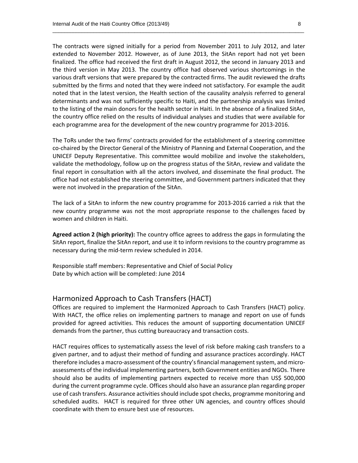The contracts were signed initially for a period from November 2011 to July 2012, and later extended to November 2012. However, as of June 2013, the SitAn report had not yet been finalized. The office had received the first draft in August 2012, the second in January 2013 and the third version in May 2013. The country office had observed various shortcomings in the various draft versions that were prepared by the contracted firms. The audit reviewed the drafts submitted by the firms and noted that they were indeed not satisfactory. For example the audit noted that in the latest version, the Health section of the causality analysis referred to general determinants and was not sufficiently specific to Haiti, and the partnership analysis was limited to the listing of the main donors for the health sector in Haiti. In the absence of a finalized SitAn, the country office relied on the results of individual analyses and studies that were available for each programme area for the development of the new country programme for 2013‐2016.

 $\overline{\phantom{a}}$  ,  $\overline{\phantom{a}}$  ,  $\overline{\phantom{a}}$  ,  $\overline{\phantom{a}}$  ,  $\overline{\phantom{a}}$  ,  $\overline{\phantom{a}}$  ,  $\overline{\phantom{a}}$  ,  $\overline{\phantom{a}}$  ,  $\overline{\phantom{a}}$  ,  $\overline{\phantom{a}}$  ,  $\overline{\phantom{a}}$  ,  $\overline{\phantom{a}}$  ,  $\overline{\phantom{a}}$  ,  $\overline{\phantom{a}}$  ,  $\overline{\phantom{a}}$  ,  $\overline{\phantom{a}}$ 

The ToRs under the two firms' contracts provided for the establishment of a steering committee co-chaired by the Director General of the Ministry of Planning and External Cooperation, and the UNICEF Deputy Representative. This committee would mobilize and involve the stakeholders, validate the methodology, follow up on the progress status of the SitAn, review and validate the final report in consultation with all the actors involved, and disseminate the final product. The office had not established the steering committee, and Government partners indicated that they were not involved in the preparation of the SitAn.

The lack of a SitAn to inform the new country programme for 2013‐2016 carried a risk that the new country programme was not the most appropriate response to the challenges faced by women and children in Haiti.

**Agreed action 2 (high priority):** The country office agrees to address the gaps in formulating the SitAn report, finalize the SitAn report, and use it to inform revisions to the country programme as necessary during the mid‐term review scheduled in 2014.

Responsible staff members: Representative and Chief of Social Policy Date by which action will be completed: June 2014

### Harmonized Approach to Cash Transfers (HACT)

Offices are required to implement the Harmonized Approach to Cash Transfers (HACT) policy. With HACT, the office relies on implementing partners to manage and report on use of funds provided for agreed activities. This reduces the amount of supporting documentation UNICEF demands from the partner, thus cutting bureaucracy and transaction costs.

HACT requires offices to systematically assess the level of risk before making cash transfers to a given partner, and to adjust their method of funding and assurance practices accordingly. HACT therefore includes a macro-assessment of the country's financial management system, and microassessments of the individual implementing partners, both Government entities and NGOs. There should also be audits of implementing partners expected to receive more than US\$ 500,000 during the current programme cycle. Offices should also have an assurance plan regarding proper use of cash transfers. Assurance activities should include spot checks, programme monitoring and scheduled audits. HACT is required for three other UN agencies, and country offices should coordinate with them to ensure best use of resources.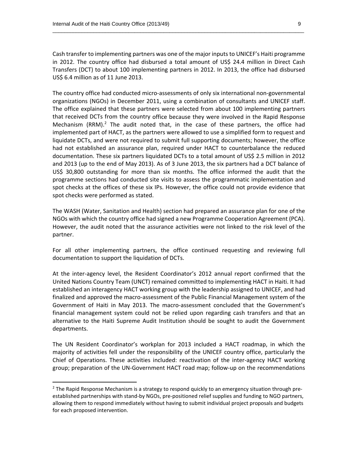Cash transfer to implementing partners was one of the major inputsto UNICEF's Haiti programme in 2012. The country office had disbursed a total amount of US\$ 24.4 million in Direct Cash Transfers (DCT) to about 100 implementing partners in 2012. In 2013, the office had disbursed US\$ 6.4 million as of 11 June 2013.

 $\overline{\phantom{a}}$  ,  $\overline{\phantom{a}}$  ,  $\overline{\phantom{a}}$  ,  $\overline{\phantom{a}}$  ,  $\overline{\phantom{a}}$  ,  $\overline{\phantom{a}}$  ,  $\overline{\phantom{a}}$  ,  $\overline{\phantom{a}}$  ,  $\overline{\phantom{a}}$  ,  $\overline{\phantom{a}}$  ,  $\overline{\phantom{a}}$  ,  $\overline{\phantom{a}}$  ,  $\overline{\phantom{a}}$  ,  $\overline{\phantom{a}}$  ,  $\overline{\phantom{a}}$  ,  $\overline{\phantom{a}}$ 

The country office had conducted micro-assessments of only six international non-governmental organizations (NGOs) in December 2011, using a combination of consultants and UNICEF staff. The office explained that these partners were selected from about 100 implementing partners that received DCTs from the country office because they were involved in the Rapid Response Mechanism  $(RRM)^2$  The audit noted that, in the case of these partners, the office had implemented part of HACT, as the partners were allowed to use a simplified form to request and liquidate DCTs, and were not required to submit full supporting documents; however, the office had not established an assurance plan, required under HACT to counterbalance the reduced documentation. These six partners liquidated DCTs to a total amount of US\$ 2.5 million in 2012 and 2013 (up to the end of May 2013). As of 3 June 2013, the six partners had a DCT balance of US\$ 30,800 outstanding for more than six months. The office informed the audit that the programme sections had conducted site visits to assess the programmatic implementation and spot checks at the offices of these six IPs. However, the office could not provide evidence that spot checks were performed as stated.

The WASH (Water, Sanitation and Health) section had prepared an assurance plan for one of the NGOs with which the country office had signed a new Programme Cooperation Agreement (PCA). However, the audit noted that the assurance activities were not linked to the risk level of the partner.

For all other implementing partners, the office continued requesting and reviewing full documentation to support the liquidation of DCTs.

At the inter‐agency level, the Resident Coordinator's 2012 annual report confirmed that the United Nations Country Team (UNCT) remained committed to implementing HACT in Haiti. It had established an interagency HACT working group with the leadership assigned to UNICEF, and had finalized and approved the macro‐assessment of the Public Financial Management system of the Government of Haiti in May 2013. The macro-assessment concluded that the Government's financial management system could not be relied upon regarding cash transfers and that an alternative to the Haiti Supreme Audit Institution should be sought to audit the Government departments.

The UN Resident Coordinator's workplan for 2013 included a HACT roadmap, in which the majority of activities fell under the responsibility of the UNICEF country office, particularly the Chief of Operations. These activities included: reactivation of the inter‐agency HACT working group; preparation of the UN‐Government HACT road map; follow‐up on the recommendations

<sup>&</sup>lt;sup>2</sup> The Rapid Response Mechanism is a strategy to respond quickly to an emergency situation through preestablished partnerships with stand‐by NGOs, pre‐positioned relief supplies and funding to NGO partners, allowing them to respond immediately without having to submit individual project proposals and budgets for each proposed intervention.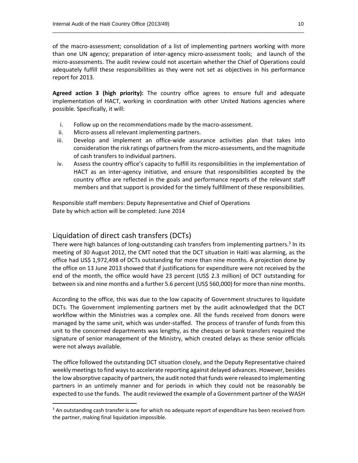of the macro‐assessment; consolidation of a list of implementing partners working with more than one UN agency; preparation of inter-agency micro-assessment tools; and launch of the micro‐assessments. The audit review could not ascertain whether the Chief of Operations could adequately fulfill these responsibilities as they were not set as objectives in his performance report for 2013.

 $\overline{\phantom{a}}$  ,  $\overline{\phantom{a}}$  ,  $\overline{\phantom{a}}$  ,  $\overline{\phantom{a}}$  ,  $\overline{\phantom{a}}$  ,  $\overline{\phantom{a}}$  ,  $\overline{\phantom{a}}$  ,  $\overline{\phantom{a}}$  ,  $\overline{\phantom{a}}$  ,  $\overline{\phantom{a}}$  ,  $\overline{\phantom{a}}$  ,  $\overline{\phantom{a}}$  ,  $\overline{\phantom{a}}$  ,  $\overline{\phantom{a}}$  ,  $\overline{\phantom{a}}$  ,  $\overline{\phantom{a}}$ 

**Agreed action 3 (high priority):** The country office agrees to ensure full and adequate implementation of HACT, working in coordination with other United Nations agencies where possible. Specifically, it will:

- i. Follow up on the recommendations made by the macro‐assessment.
- ii. Micro‐assess all relevant implementing partners.
- iii. Develop and implement an office-wide assurance activities plan that takes into consideration the risk ratings of partners from the micro-assessments, and the magnitude of cash transfers to individual partners.
- iv. Assess the country office's capacity to fulfill its responsibilities in the implementation of HACT as an inter-agency initiative, and ensure that responsibilities accepted by the country office are reflected in the goals and performance reports of the relevant staff members and that support is provided for the timely fulfillment of these responsibilities.

Responsible staff members: Deputy Representative and Chief of Operations Date by which action will be completed: June 2014

### Liquidation of direct cash transfers (DCTs)

There were high balances of long-outstanding cash transfers from implementing partners.<sup>3</sup> In its meeting of 30 August 2012, the CMT noted that the DCT situation in Haiti was alarming, as the office had US\$ 1,972,498 of DCTs outstanding for more than nine months. A projection done by the office on 13 June 2013 showed that if justifications for expenditure were not received by the end of the month, the office would have 23 percent (US\$ 2.3 million) of DCT outstanding for between six and nine months and a further 5.6 percent (US\$ 560,000) for more than nine months.

According to the office, this was due to the low capacity of Government structures to liquidate DCTs. The Government implementing partners met by the audit acknowledged that the DCT workflow within the Ministries was a complex one. All the funds received from donors were managed by the same unit, which was under‐staffed. The process of transfer of funds from this unit to the concerned departments was lengthy, as the cheques or bank transfers required the signature of senior management of the Ministry, which created delays as these senior officials were not always available.

The office followed the outstanding DCT situation closely, and the Deputy Representative chaired weekly meetingsto find waysto accelerate reporting against delayed advances. However, besides the low absorptive capacity of partners, the audit noted that funds were released to implementing partners in an untimely manner and for periods in which they could not be reasonably be expected to use the funds. The audit reviewed the example of a Government partner of the WASH

 $3$  An outstanding cash transfer is one for which no adequate report of expenditure has been received from the partner, making final liquidation impossible.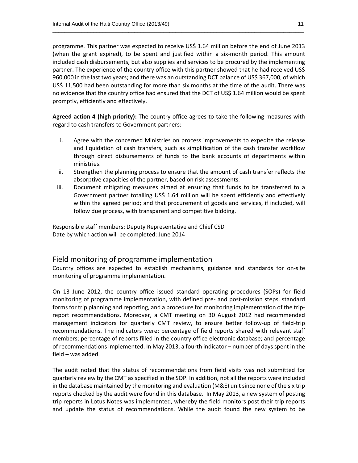programme. This partner was expected to receive US\$ 1.64 million before the end of June 2013 (when the grant expired), to be spent and justified within a six-month period. This amount included cash disbursements, but also supplies and services to be procured by the implementing partner. The experience of the country office with this partner showed that he had received US\$ 960,000 in the last two years; and there was an outstanding DCT balance of US\$ 367,000, of which US\$ 11,500 had been outstanding for more than six months at the time of the audit. There was no evidence that the country office had ensured that the DCT of US\$ 1.64 million would be spent promptly, efficiently and effectively.

 $\overline{\phantom{a}}$  ,  $\overline{\phantom{a}}$  ,  $\overline{\phantom{a}}$  ,  $\overline{\phantom{a}}$  ,  $\overline{\phantom{a}}$  ,  $\overline{\phantom{a}}$  ,  $\overline{\phantom{a}}$  ,  $\overline{\phantom{a}}$  ,  $\overline{\phantom{a}}$  ,  $\overline{\phantom{a}}$  ,  $\overline{\phantom{a}}$  ,  $\overline{\phantom{a}}$  ,  $\overline{\phantom{a}}$  ,  $\overline{\phantom{a}}$  ,  $\overline{\phantom{a}}$  ,  $\overline{\phantom{a}}$ 

**Agreed action 4 (high priority):** The country office agrees to take the following measures with regard to cash transfers to Government partners:

- i. Agree with the concerned Ministries on process improvements to expedite the release and liquidation of cash transfers, such as simplification of the cash transfer workflow through direct disbursements of funds to the bank accounts of departments within ministries.
- ii. Strengthen the planning process to ensure that the amount of cash transfer reflects the absorptive capacities of the partner, based on risk assessments.
- iii. Document mitigating measures aimed at ensuring that funds to be transferred to a Government partner totalling US\$ 1.64 million will be spent efficiently and effectively within the agreed period; and that procurement of goods and services, if included, will follow due process, with transparent and competitive bidding.

Responsible staff members: Deputy Representative and Chief CSD Date by which action will be completed: June 2014

### Field monitoring of programme implementation

Country offices are expected to establish mechanisms, guidance and standards for on‐site monitoring of programme implementation.

On 13 June 2012, the country office issued standard operating procedures (SOPs) for field monitoring of programme implementation, with defined pre- and post-mission steps, standard forms for trip planning and reporting, and a procedure for monitoring implementation of the trip‐ report recommendations. Moreover, a CMT meeting on 30 August 2012 had recommended management indicators for quarterly CMT review, to ensure better follow‐up of field‐trip recommendations. The indicators were: percentage of field reports shared with relevant staff members; percentage of reports filled in the country office electronic database; and percentage of recommendations implemented. In May 2013, a fourth indicator – number of days spent in the field – was added.

The audit noted that the status of recommendations from field visits was not submitted for quarterly review by the CMT as specified in the SOP. In addition, not all the reports were included in the database maintained by the monitoring and evaluation (M&E) unit since none of the six trip reports checked by the audit were found in this database. In May 2013, a new system of posting trip reports in Lotus Notes was implemented, whereby the field monitors post their trip reports and update the status of recommendations. While the audit found the new system to be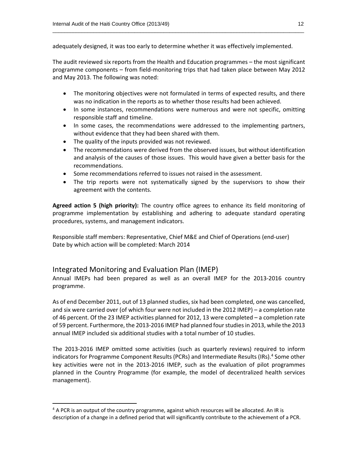adequately designed, it was too early to determine whether it was effectively implemented.

The audit reviewed six reports from the Health and Education programmes – the most significant programme components – from field‐monitoring trips that had taken place between May 2012 and May 2013. The following was noted:

 $\overline{\phantom{a}}$  ,  $\overline{\phantom{a}}$  ,  $\overline{\phantom{a}}$  ,  $\overline{\phantom{a}}$  ,  $\overline{\phantom{a}}$  ,  $\overline{\phantom{a}}$  ,  $\overline{\phantom{a}}$  ,  $\overline{\phantom{a}}$  ,  $\overline{\phantom{a}}$  ,  $\overline{\phantom{a}}$  ,  $\overline{\phantom{a}}$  ,  $\overline{\phantom{a}}$  ,  $\overline{\phantom{a}}$  ,  $\overline{\phantom{a}}$  ,  $\overline{\phantom{a}}$  ,  $\overline{\phantom{a}}$ 

- The monitoring objectives were not formulated in terms of expected results, and there was no indication in the reports as to whether those results had been achieved.
- In some instances, recommendations were numerous and were not specific, omitting responsible staff and timeline.
- In some cases, the recommendations were addressed to the implementing partners, without evidence that they had been shared with them.
- The quality of the inputs provided was not reviewed.
- The recommendations were derived from the observed issues, but without identification and analysis of the causes of those issues. This would have given a better basis for the recommendations.
- Some recommendations referred to issues not raised in the assessment.
- The trip reports were not systematically signed by the supervisors to show their agreement with the contents.

**Agreed action 5 (high priority):** The country office agrees to enhance its field monitoring of programme implementation by establishing and adhering to adequate standard operating procedures, systems, and management indicators.

Responsible staff members: Representative, Chief M&E and Chief of Operations (end‐user) Date by which action will be completed: March 2014

### Integrated Monitoring and Evaluation Plan (IMEP)

Annual IMEPs had been prepared as well as an overall IMEP for the 2013‐2016 country programme.

As of end December 2011, out of 13 planned studies, six had been completed, one was cancelled, and six were carried over (of which four were not included in the 2012 IMEP) – a completion rate of 46 percent. Of the 23 IMEP activities planned for 2012, 13 were completed – a completion rate of 59 percent. Furthermore, the 2013‐2016 IMEP had planned fourstudiesin 2013, while the 2013 annual IMEP included six additional studies with a total number of 10 studies.

The 2013‐2016 IMEP omitted some activities (such as quarterly reviews) required to inform indicators for Programme Component Results (PCRs) and Intermediate Results (IRs).<sup>4</sup> Some other key activities were not in the 2013‐2016 IMEP, such as the evaluation of pilot programmes planned in the Country Programme (for example, the model of decentralized health services management).

 $4$  A PCR is an output of the country programme, against which resources will be allocated. An IR is description of a change in a defined period that will significantly contribute to the achievement of a PCR.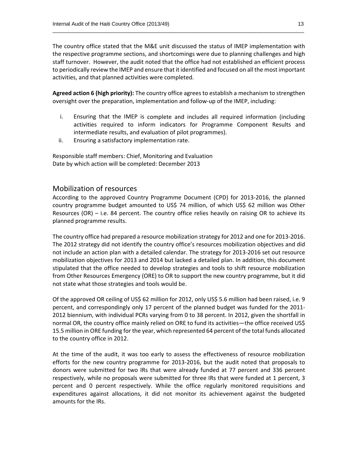The country office stated that the M&E unit discussed the status of IMEP implementation with the respective programme sections, and shortcomings were due to planning challenges and high staff turnover. However, the audit noted that the office had not established an efficient process to periodically review the IMEP and ensure that it identified and focused on all the most important activities, and that planned activities were completed.

 $\overline{\phantom{a}}$  ,  $\overline{\phantom{a}}$  ,  $\overline{\phantom{a}}$  ,  $\overline{\phantom{a}}$  ,  $\overline{\phantom{a}}$  ,  $\overline{\phantom{a}}$  ,  $\overline{\phantom{a}}$  ,  $\overline{\phantom{a}}$  ,  $\overline{\phantom{a}}$  ,  $\overline{\phantom{a}}$  ,  $\overline{\phantom{a}}$  ,  $\overline{\phantom{a}}$  ,  $\overline{\phantom{a}}$  ,  $\overline{\phantom{a}}$  ,  $\overline{\phantom{a}}$  ,  $\overline{\phantom{a}}$ 

**Agreed action 6 (high priority):** The country office agrees to establish a mechanism to strengthen oversight over the preparation, implementation and follow‐up of the IMEP, including:

- i. Ensuring that the IMEP is complete and includes all required information (including activities required to inform indicators for Programme Component Results and intermediate results, and evaluation of pilot programmes).
- ii. Ensuring a satisfactory implementation rate.

Responsible staff members: Chief, Monitoring and Evaluation Date by which action will be completed: December 2013

### Mobilization of resources

According to the approved Country Programme Document (CPD) for 2013‐2016, the planned country programme budget amounted to US\$ 74 million, of which US\$ 62 million was Other Resources (OR) – i.e. 84 percent. The country office relies heavily on raising OR to achieve its planned programme results.

The country office had prepared a resource mobilization strategy for 2012 and one for 2013‐2016. The 2012 strategy did not identify the country office's resources mobilization objectives and did not include an action plan with a detailed calendar. The strategy for 2013‐2016 set out resource mobilization objectives for 2013 and 2014 but lacked a detailed plan. In addition, this document stipulated that the office needed to develop strategies and tools to shift resource mobilization from Other Resources Emergency (ORE) to OR to support the new country programme, but it did not state what those strategies and tools would be.

Of the approved OR ceiling of US\$ 62 million for 2012, only US\$ 5.6 million had been raised, i.e. 9 percent, and correspondingly only 17 percent of the planned budget was funded for the 2011‐ 2012 biennium, with individual PCRs varying from 0 to 38 percent. In 2012, given the shortfall in normal OR, the country office mainly relied on ORE to fund its activities—the office received US\$ 15.5 million in ORE funding for the year, which represented 64 percent of the total funds allocated to the country office in 2012.

At the time of the audit, it was too early to assess the effectiveness of resource mobilization efforts for the new country programme for 2013‐2016, but the audit noted that proposals to donors were submitted for two IRs that were already funded at 77 percent and 336 percent respectively, while no proposals were submitted for three IRs that were funded at 1 percent, 3 percent and 0 percent respectively. While the office regularly monitored requisitions and expenditures against allocations, it did not monitor its achievement against the budgeted amounts for the IRs.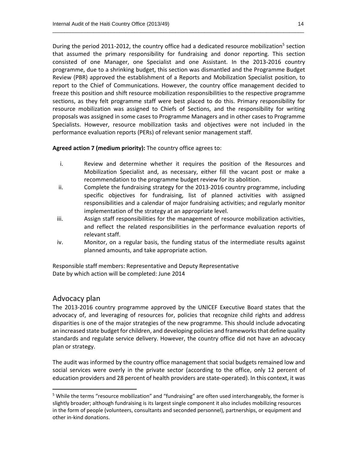During the period 2011-2012, the country office had a dedicated resource mobilization<sup>5</sup> section that assumed the primary responsibility for fundraising and donor reporting. This section consisted of one Manager, one Specialist and one Assistant. In the 2013‐2016 country programme, due to a shrinking budget, this section was dismantled and the Programme Budget Review (PBR) approved the establishment of a Reports and Mobilization Specialist position, to report to the Chief of Communications. However, the country office management decided to freeze this position and shift resource mobilization responsibilities to the respective programme sections, as they felt programme staff were best placed to do this. Primary responsibility for resource mobilization was assigned to Chiefs of Sections, and the responsibility for writing proposals was assigned in some cases to Programme Managers and in other cases to Programme Specialists. However, resource mobilization tasks and objectives were not included in the performance evaluation reports (PERs) of relevant senior management staff.

 $\overline{\phantom{a}}$  ,  $\overline{\phantom{a}}$  ,  $\overline{\phantom{a}}$  ,  $\overline{\phantom{a}}$  ,  $\overline{\phantom{a}}$  ,  $\overline{\phantom{a}}$  ,  $\overline{\phantom{a}}$  ,  $\overline{\phantom{a}}$  ,  $\overline{\phantom{a}}$  ,  $\overline{\phantom{a}}$  ,  $\overline{\phantom{a}}$  ,  $\overline{\phantom{a}}$  ,  $\overline{\phantom{a}}$  ,  $\overline{\phantom{a}}$  ,  $\overline{\phantom{a}}$  ,  $\overline{\phantom{a}}$ 

**Agreed action 7 (medium priority):** The country office agrees to:

- i. Review and determine whether it requires the position of the Resources and Mobilization Specialist and, as necessary, either fill the vacant post or make a recommendation to the programme budget review for its abolition.
- ii. Complete the fundraising strategy for the 2013‐2016 country programme, including specific objectives for fundraising, list of planned activities with assigned responsibilities and a calendar of major fundraising activities; and regularly monitor implementation of the strategy at an appropriate level.
- iii. Assign staff responsibilities for the management of resource mobilization activities, and reflect the related responsibilities in the performance evaluation reports of relevant staff.
- iv. Monitor, on a regular basis, the funding status of the intermediate results against planned amounts, and take appropriate action.

Responsible staff members: Representative and Deputy Representative Date by which action will be completed: June 2014

### Advocacy plan

The 2013-2016 country programme approved by the UNICEF Executive Board states that the advocacy of, and leveraging of resources for, policies that recognize child rights and address disparities is one of the major strategies of the new programme. This should include advocating an increased state budget for children, and developing policies and frameworksthat define quality standards and regulate service delivery. However, the country office did not have an advocacy plan or strategy.

The audit was informed by the country office management that social budgets remained low and social services were overly in the private sector (according to the office, only 12 percent of education providers and 28 percent of health providers are state‐operated). In this context, it was

<sup>&</sup>lt;sup>5</sup> While the terms "resource mobilization" and "fundraising" are often used interchangeably, the former is slightly broader; although fundraising is its largest single component it also includes mobilizing resources in the form of people (volunteers, consultants and seconded personnel), partnerships, or equipment and other in‐kind donations.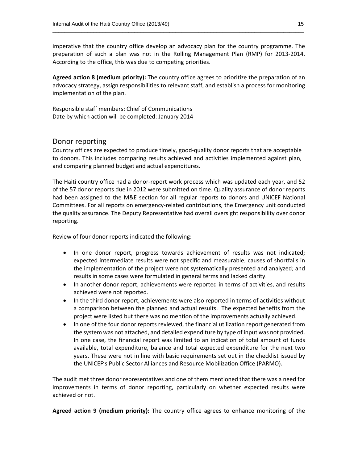imperative that the country office develop an advocacy plan for the country programme. The preparation of such a plan was not in the Rolling Management Plan (RMP) for 2013‐2014. According to the office, this was due to competing priorities.

 $\overline{\phantom{a}}$  ,  $\overline{\phantom{a}}$  ,  $\overline{\phantom{a}}$  ,  $\overline{\phantom{a}}$  ,  $\overline{\phantom{a}}$  ,  $\overline{\phantom{a}}$  ,  $\overline{\phantom{a}}$  ,  $\overline{\phantom{a}}$  ,  $\overline{\phantom{a}}$  ,  $\overline{\phantom{a}}$  ,  $\overline{\phantom{a}}$  ,  $\overline{\phantom{a}}$  ,  $\overline{\phantom{a}}$  ,  $\overline{\phantom{a}}$  ,  $\overline{\phantom{a}}$  ,  $\overline{\phantom{a}}$ 

**Agreed action 8 (medium priority):** The country office agrees to prioritize the preparation of an advocacy strategy, assign responsibilities to relevant staff, and establish a process for monitoring implementation of the plan.

Responsible staff members: Chief of Communications Date by which action will be completed: January 2014

### Donor reporting

Country offices are expected to produce timely, good‐quality donor reports that are acceptable to donors. This includes comparing results achieved and activities implemented against plan, and comparing planned budget and actual expenditures.

The Haiti country office had a donor‐report work process which was updated each year, and 52 of the 57 donor reports due in 2012 were submitted on time. Quality assurance of donor reports had been assigned to the M&E section for all regular reports to donors and UNICEF National Committees. For all reports on emergency‐related contributions, the Emergency unit conducted the quality assurance. The Deputy Representative had overall oversight responsibility over donor reporting.

Review of four donor reports indicated the following:

- In one donor report, progress towards achievement of results was not indicated; expected intermediate results were not specific and measurable; causes of shortfalls in the implementation of the project were not systematically presented and analyzed; and results in some cases were formulated in general terms and lacked clarity.
- In another donor report, achievements were reported in terms of activities, and results achieved were not reported.
- In the third donor report, achievements were also reported in terms of activities without a comparison between the planned and actual results. The expected benefits from the project were listed but there was no mention of the improvements actually achieved.
- In one of the four donor reports reviewed, the financial utilization report generated from the system was not attached, and detailed expenditure by type of input was not provided. In one case, the financial report was limited to an indication of total amount of funds available, total expenditure, balance and total expected expenditure for the next two years. These were not in line with basic requirements set out in the checklist issued by the UNICEF's Public Sector Alliances and Resource Mobilization Office (PARMO).

The audit met three donor representatives and one of them mentioned that there was a need for improvements in terms of donor reporting, particularly on whether expected results were achieved or not.

**Agreed action 9 (medium priority):** The country office agrees to enhance monitoring of the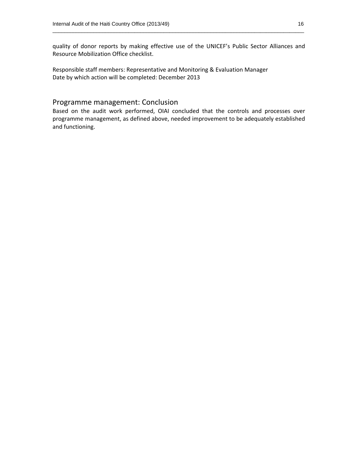quality of donor reports by making effective use of the UNICEF's Public Sector Alliances and Resource Mobilization Office checklist.

 $\overline{\phantom{a}}$  ,  $\overline{\phantom{a}}$  ,  $\overline{\phantom{a}}$  ,  $\overline{\phantom{a}}$  ,  $\overline{\phantom{a}}$  ,  $\overline{\phantom{a}}$  ,  $\overline{\phantom{a}}$  ,  $\overline{\phantom{a}}$  ,  $\overline{\phantom{a}}$  ,  $\overline{\phantom{a}}$  ,  $\overline{\phantom{a}}$  ,  $\overline{\phantom{a}}$  ,  $\overline{\phantom{a}}$  ,  $\overline{\phantom{a}}$  ,  $\overline{\phantom{a}}$  ,  $\overline{\phantom{a}}$ 

Responsible staff members: Representative and Monitoring & Evaluation Manager Date by which action will be completed: December 2013

### Programme management: Conclusion

Based on the audit work performed, OIAI concluded that the controls and processes over programme management, as defined above, needed improvement to be adequately established and functioning.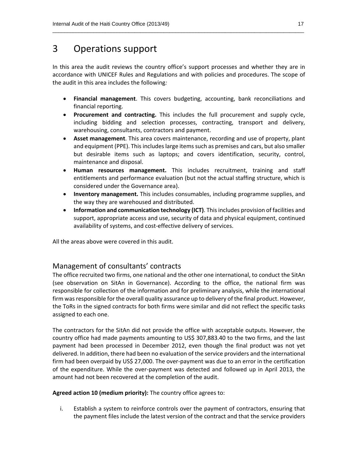### 3 Operations support

In this area the audit reviews the country office's support processes and whether they are in accordance with UNICEF Rules and Regulations and with policies and procedures. The scope of the audit in this area includes the following*:*

 $\overline{\phantom{a}}$  ,  $\overline{\phantom{a}}$  ,  $\overline{\phantom{a}}$  ,  $\overline{\phantom{a}}$  ,  $\overline{\phantom{a}}$  ,  $\overline{\phantom{a}}$  ,  $\overline{\phantom{a}}$  ,  $\overline{\phantom{a}}$  ,  $\overline{\phantom{a}}$  ,  $\overline{\phantom{a}}$  ,  $\overline{\phantom{a}}$  ,  $\overline{\phantom{a}}$  ,  $\overline{\phantom{a}}$  ,  $\overline{\phantom{a}}$  ,  $\overline{\phantom{a}}$  ,  $\overline{\phantom{a}}$ 

- **Financial management**. This covers budgeting, accounting, bank reconciliations and financial reporting.
- **Procurement and contracting.** This includes the full procurement and supply cycle, including bidding and selection processes, contracting, transport and delivery, warehousing, consultants, contractors and payment.
- **Asset management**. This area covers maintenance, recording and use of property, plant and equipment (PPE). This includes large items such as premises and cars, but also smaller but desirable items such as laptops; and covers identification, security, control, maintenance and disposal.
- **Human resources management.** This includes recruitment, training and staff entitlements and performance evaluation (but not the actual staffing structure, which is considered under the Governance area).
- **Inventory management.** This includes consumables, including programme supplies, and the way they are warehoused and distributed.
- **Information and communication technology (ICT)**. Thisincludes provision of facilities and support, appropriate access and use, security of data and physical equipment, continued availability of systems, and cost‐effective delivery of services.

All the areas above were covered in this audit.

### Management of consultants' contracts

The office recruited two firms, one national and the other one international, to conduct the SitAn (see observation on SitAn in Governance). According to the office, the national firm was responsible for collection of the information and for preliminary analysis, while the international firm was responsible for the overall quality assurance up to delivery of the final product. However, the ToRs in the signed contracts for both firms were similar and did not reflect the specific tasks assigned to each one.

The contractors for the SitAn did not provide the office with acceptable outputs. However, the country office had made payments amounting to US\$ 307,883.40 to the two firms, and the last payment had been processed in December 2012, even though the final product was not yet delivered. In addition, there had been no evaluation of the service providers and the international firm had been overpaid by US\$ 27,000. The over-payment was due to an error in the certification of the expenditure. While the over‐payment was detected and followed up in April 2013, the amount had not been recovered at the completion of the audit.

**Agreed action 10 (medium priority):** The country office agrees to:

i. Establish a system to reinforce controls over the payment of contractors, ensuring that the payment files include the latest version of the contract and that the service providers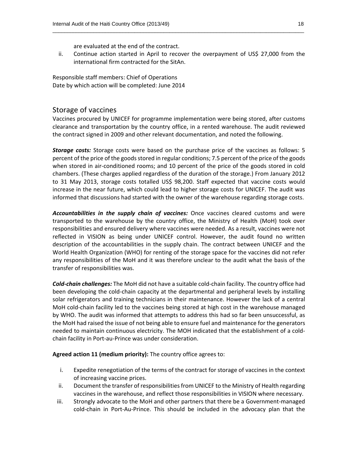are evaluated at the end of the contract.

ii. Continue action started in April to recover the overpayment of US\$ 27,000 from the international firm contracted for the SitAn.

 $\overline{\phantom{a}}$  ,  $\overline{\phantom{a}}$  ,  $\overline{\phantom{a}}$  ,  $\overline{\phantom{a}}$  ,  $\overline{\phantom{a}}$  ,  $\overline{\phantom{a}}$  ,  $\overline{\phantom{a}}$  ,  $\overline{\phantom{a}}$  ,  $\overline{\phantom{a}}$  ,  $\overline{\phantom{a}}$  ,  $\overline{\phantom{a}}$  ,  $\overline{\phantom{a}}$  ,  $\overline{\phantom{a}}$  ,  $\overline{\phantom{a}}$  ,  $\overline{\phantom{a}}$  ,  $\overline{\phantom{a}}$ 

Responsible staff members: Chief of Operations Date by which action will be completed: June 2014

### Storage of vaccines

Vaccines procured by UNICEF for programme implementation were being stored, after customs clearance and transportation by the country office, in a rented warehouse. The audit reviewed the contract signed in 2009 and other relevant documentation, and noted the following.

*Storage costs:* Storage costs were based on the purchase price of the vaccines as follows: 5 percent of the price of the goods stored in regular conditions; 7.5 percent of the price of the goods when stored in air-conditioned rooms; and 10 percent of the price of the goods stored in cold chambers. (These charges applied regardless of the duration of the storage.) From January 2012 to 31 May 2013, storage costs totalled US\$ 98,200. Staff expected that vaccine costs would increase in the near future, which could lead to higher storage costs for UNICEF. The audit was informed that discussions had started with the owner of the warehouse regarding storage costs.

*Accountabilities in the supply chain of vaccines:* Once vaccines cleared customs and were transported to the warehouse by the country office, the Ministry of Health (MoH) took over responsibilities and ensured delivery where vaccines were needed. As a result, vaccines were not reflected in VISION as being under UNICEF control. However, the audit found no written description of the accountabilities in the supply chain. The contract between UNICEF and the World Health Organization (WHO) for renting of the storage space for the vaccines did not refer any responsibilities of the MoH and it was therefore unclear to the audit what the basis of the transfer of responsibilities was.

*Cold‐chain challenges:* The MoH did not have a suitable cold‐chain facility. The country office had been developing the cold-chain capacity at the departmental and peripheral levels by installing solar refrigerators and training technicians in their maintenance. However the lack of a central MoH cold-chain facility led to the vaccines being stored at high cost in the warehouse managed by WHO. The audit was informed that attempts to address this had so far been unsuccessful, as the MoH had raised the issue of not being able to ensure fuel and maintenance for the generators needed to maintain continuous electricity. The MOH indicated that the establishment of a cold‐ chain facility in Port‐au‐Prince was under consideration.

**Agreed action 11 (medium priority):** The country office agrees to:

- i. Expedite renegotiation of the terms of the contract for storage of vaccines in the context of increasing vaccine prices.
- ii. Document the transfer of responsibilities from UNICEF to the Ministry of Health regarding vaccines in the warehouse, and reflect those responsibilities in VISION where necessary.
- iii. Strongly advocate to the MoH and other partners that there be a Government‐managed cold‐chain in Port‐Au‐Prince. This should be included in the advocacy plan that the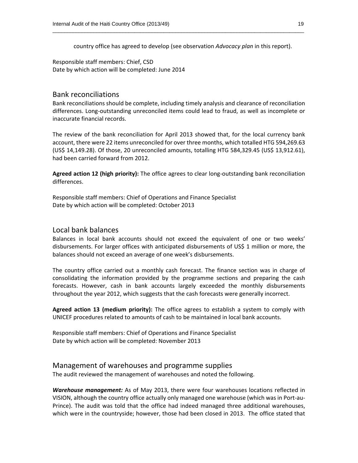country office has agreed to develop (see observation *Advocacy plan* in this report).

 $\overline{\phantom{a}}$  ,  $\overline{\phantom{a}}$  ,  $\overline{\phantom{a}}$  ,  $\overline{\phantom{a}}$  ,  $\overline{\phantom{a}}$  ,  $\overline{\phantom{a}}$  ,  $\overline{\phantom{a}}$  ,  $\overline{\phantom{a}}$  ,  $\overline{\phantom{a}}$  ,  $\overline{\phantom{a}}$  ,  $\overline{\phantom{a}}$  ,  $\overline{\phantom{a}}$  ,  $\overline{\phantom{a}}$  ,  $\overline{\phantom{a}}$  ,  $\overline{\phantom{a}}$  ,  $\overline{\phantom{a}}$ 

Responsible staff members: Chief, CSD Date by which action will be completed: June 2014

### Bank reconciliations

Bank reconciliations should be complete, including timely analysis and clearance of reconciliation differences. Long‐outstanding unreconciled items could lead to fraud, as well as incomplete or inaccurate financial records.

The review of the bank reconciliation for April 2013 showed that, for the local currency bank account, there were 22 items unreconciled for over three months, which totalled HTG 594,269.63 (US\$ 14,149.28). Of those, 20 unreconciled amounts, totalling HTG 584,329.45 (US\$ 13,912.61), had been carried forward from 2012.

**Agreed action 12 (high priority):** The office agrees to clear long‐outstanding bank reconciliation differences.

Responsible staff members: Chief of Operations and Finance Specialist Date by which action will be completed: October 2013

### Local bank balances

Balances in local bank accounts should not exceed the equivalent of one or two weeks' disbursements. For larger offices with anticipated disbursements of US\$ 1 million or more, the balances should not exceed an average of one week's disbursements.

The country office carried out a monthly cash forecast. The finance section was in charge of consolidating the information provided by the programme sections and preparing the cash forecasts. However, cash in bank accounts largely exceeded the monthly disbursements throughout the year 2012, which suggests that the cash forecasts were generally incorrect.

**Agreed action 13 (medium priority):** The office agrees to establish a system to comply with UNICEF procedures related to amounts of cash to be maintained in local bank accounts.

Responsible staff members: Chief of Operations and Finance Specialist Date by which action will be completed: November 2013

### Management of warehouses and programme supplies

The audit reviewed the management of warehouses and noted the following.

*Warehouse management:* As of May 2013, there were four warehouses locations reflected in VISION, although the country office actually only managed one warehouse (which was in Port‐au‐ Prince). The audit was told that the office had indeed managed three additional warehouses, which were in the countryside; however, those had been closed in 2013. The office stated that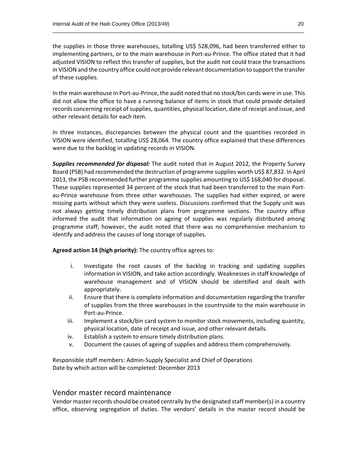the supplies in those three warehouses, totalling US\$ 528,096, had been transferred either to implementing partners, or to the main warehouse in Port‐au‐Prince. The office stated that it had adjusted VISION to reflect this transfer of supplies, but the audit not could trace the transactions in VISION and the country office could not provide relevant documentation to support the transfer of these supplies.

 $\overline{\phantom{a}}$  ,  $\overline{\phantom{a}}$  ,  $\overline{\phantom{a}}$  ,  $\overline{\phantom{a}}$  ,  $\overline{\phantom{a}}$  ,  $\overline{\phantom{a}}$  ,  $\overline{\phantom{a}}$  ,  $\overline{\phantom{a}}$  ,  $\overline{\phantom{a}}$  ,  $\overline{\phantom{a}}$  ,  $\overline{\phantom{a}}$  ,  $\overline{\phantom{a}}$  ,  $\overline{\phantom{a}}$  ,  $\overline{\phantom{a}}$  ,  $\overline{\phantom{a}}$  ,  $\overline{\phantom{a}}$ 

In the main warehouse in Port‐au‐Prince, the audit noted that no stock/bin cards were in use. This did not allow the office to have a running balance of items in stock that could provide detailed records concerning receipt of supplies, quantities, physical location, date of receipt and issue, and other relevant details for each item.

In three instances, discrepancies between the physical count and the quantities recorded in VISION were identified, totalling US\$ 28,064. The country office explained that these differences were due to the backlog in updating records in VISION.

*Supplies recommended for disposal:* The audit noted that in August 2012, the Property Survey Board (PSB) had recommended the destruction of programme supplies worth US\$ 87,832. In April 2013, the PSB recommended further programme supplies amounting to US\$ 168,040 for disposal. These supplies represented 34 percent of the stock that had been transferred to the main Port‐ au-Prince warehouse from three other warehouses. The supplies had either expired, or were missing parts without which they were useless. Discussions confirmed that the Supply unit was not always getting timely distribution plans from programme sections. The country office informed the audit that information on ageing of supplies was regularly distributed among programme staff; however, the audit noted that there was no comprehensive mechanism to identify and address the causes of long storage of supplies.

#### **Agreed action 14 (high priority):** The country office agrees to:

- i. Investigate the root causes of the backlog in tracking and updating supplies information in VISION, and take action accordingly. Weaknessesin staff knowledge of warehouse management and of VISION should be identified and dealt with appropriately.
- ii. Ensure that there is complete information and documentation regarding the transfer of supplies from the three warehouses in the countryside to the main warehouse in Port‐au‐Prince.
- iii. Implement a stock/bin card system to monitor stock movements, including quantity, physical location, date of receipt and issue, and other relevant details.
- iv. Establish a system to ensure timely distribution plans.
- v. Document the causes of ageing of supplies and address them comprehensively.

Responsible staff members: Admin‐Supply Specialist and Chief of Operations Date by which action will be completed: December 2013

### Vendor master record maintenance

Vendor master records should be created centrally by the designated staff member(s) in a country office, observing segregation of duties. The vendors' details in the master record should be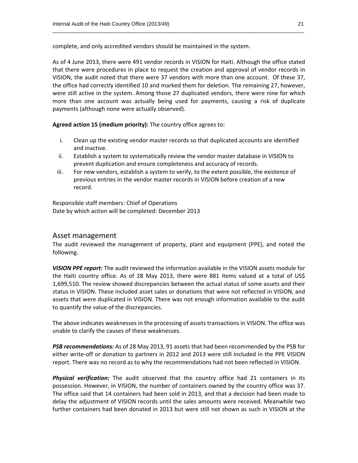complete, and only accredited vendors should be maintained in the system.

As of 4 June 2013, there were 491 vendor records in VISION for Haiti. Although the office stated that there were procedures in place to request the creation and approval of vendor records in VISION, the audit noted that there were 37 vendors with more than one account. Of these 37, the office had correctly identified 10 and marked them for deletion. The remaining 27, however, were still active in the system. Among those 27 duplicated vendors, there were nine for which more than one account was actually being used for payments, causing a risk of duplicate payments (although none were actually observed).

 $\overline{\phantom{a}}$  ,  $\overline{\phantom{a}}$  ,  $\overline{\phantom{a}}$  ,  $\overline{\phantom{a}}$  ,  $\overline{\phantom{a}}$  ,  $\overline{\phantom{a}}$  ,  $\overline{\phantom{a}}$  ,  $\overline{\phantom{a}}$  ,  $\overline{\phantom{a}}$  ,  $\overline{\phantom{a}}$  ,  $\overline{\phantom{a}}$  ,  $\overline{\phantom{a}}$  ,  $\overline{\phantom{a}}$  ,  $\overline{\phantom{a}}$  ,  $\overline{\phantom{a}}$  ,  $\overline{\phantom{a}}$ 

**Agreed action 15 (medium priority):** The country office agrees to:

- i. Clean up the existing vendor master records so that duplicated accounts are identified and inactive.
- ii. Establish a system to systematically review the vendor master database in VISION to prevent duplication and ensure completeness and accuracy of records.
- iii. For new vendors, establish a system to verify, to the extent possible, the existence of previous entries in the vendor master records in VISION before creation of a new record.

Responsible staff members: Chief of Operations Date by which action will be completed: December 2013

### Asset management

The audit reviewed the management of property, plant and equipment (PPE), and noted the following.

*VISION PPE report:* The audit reviewed the information available in the VISION assets module for the Haiti country office. As of 28 May 2013, there were 881 items valued at a total of US\$ 1,699,510. The review showed discrepancies between the actual status of some assets and their status in VISION. These included asset sales or donations that were not reflected in VISION, and assets that were duplicated in VISION. There was not enough information available to the audit to quantify the value of the discrepancies.

The above indicates weaknesses in the processing of assets transactions in VISION. The office was unable to clarify the causes of these weaknesses*.*

*PSB recommendations:* As of 28 May 2013, 91 assets that had been recommended by the PSB for either write-off or donation to partners in 2012 and 2013 were still included in the PPE VISION report. There was no record as to why the recommendations had not been reflected in VISION.

*Physical verification:* The audit observed that the country office had 21 containers in its possession. However, in VISION, the number of containers owned by the country office was 37. The office said that 14 containers had been sold in 2013, and that a decision had been made to delay the adjustment of VISION records until the sales amounts were received. Meanwhile two further containers had been donated in 2013 but were still not shown as such in VISION at the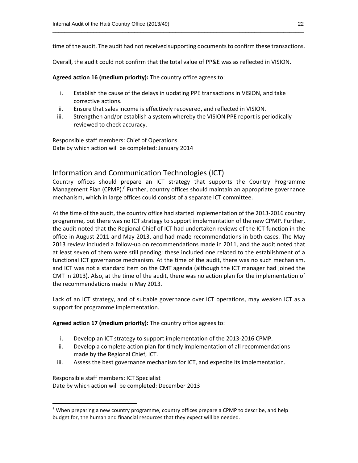time of the audit. The audit had not received supporting documents to confirm these transactions.

 $\overline{\phantom{a}}$  ,  $\overline{\phantom{a}}$  ,  $\overline{\phantom{a}}$  ,  $\overline{\phantom{a}}$  ,  $\overline{\phantom{a}}$  ,  $\overline{\phantom{a}}$  ,  $\overline{\phantom{a}}$  ,  $\overline{\phantom{a}}$  ,  $\overline{\phantom{a}}$  ,  $\overline{\phantom{a}}$  ,  $\overline{\phantom{a}}$  ,  $\overline{\phantom{a}}$  ,  $\overline{\phantom{a}}$  ,  $\overline{\phantom{a}}$  ,  $\overline{\phantom{a}}$  ,  $\overline{\phantom{a}}$ 

Overall, the audit could not confirm that the total value of PP&E was as reflected in VISION.

**Agreed action 16 (medium priority):** The country office agrees to:

- i. Establish the cause of the delays in updating PPE transactions in VISION, and take corrective actions.
- ii. Ensure that sales income is effectively recovered, and reflected in VISION.
- iii. Strengthen and/or establish a system whereby the VISION PPE report is periodically reviewed to check accuracy.

Responsible staff members: Chief of Operations Date by which action will be completed: January 2014

### Information and Communication Technologies (ICT)

Country offices should prepare an ICT strategy that supports the Country Programme Management Plan (CPMP).<sup>6</sup> Further, country offices should maintain an appropriate governance mechanism, which in large offices could consist of a separate ICT committee.

At the time of the audit, the country office had started implementation of the 2013‐2016 country programme, but there was no ICT strategy to support implementation of the new CPMP. Further, the audit noted that the Regional Chief of ICT had undertaken reviews of the ICT function in the office in August 2011 and May 2013, and had made recommendations in both cases. The May 2013 review included a follow‐up on recommendations made in 2011, and the audit noted that at least seven of them were still pending; these included one related to the establishment of a functional ICT governance mechanism. At the time of the audit, there was no such mechanism, and ICT was not a standard item on the CMT agenda (although the ICT manager had joined the CMT in 2013). Also, at the time of the audit, there was no action plan for the implementation of the recommendations made in May 2013.

Lack of an ICT strategy, and of suitable governance over ICT operations, may weaken ICT as a support for programme implementation.

**Agreed action 17 (medium priority):** The country office agrees to:

- i. Develop an ICT strategy to support implementation of the 2013‐2016 CPMP.
- ii. Develop a complete action plan for timely implementation of all recommendations made by the Regional Chief, ICT.
- iii. Assess the best governance mechanism for ICT, and expedite its implementation.

Responsible staff members: ICT Specialist Date by which action will be completed: December 2013

<sup>&</sup>lt;sup>6</sup> When preparing a new country programme, country offices prepare a CPMP to describe, and help budget for, the human and financial resources that they expect will be needed.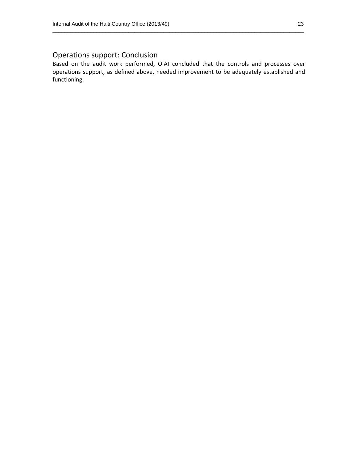### Operations support: Conclusion

Based on the audit work performed, OIAI concluded that the controls and processes over operations support, as defined above, needed improvement to be adequately established and functioning.

 $\overline{\phantom{a}}$  ,  $\overline{\phantom{a}}$  ,  $\overline{\phantom{a}}$  ,  $\overline{\phantom{a}}$  ,  $\overline{\phantom{a}}$  ,  $\overline{\phantom{a}}$  ,  $\overline{\phantom{a}}$  ,  $\overline{\phantom{a}}$  ,  $\overline{\phantom{a}}$  ,  $\overline{\phantom{a}}$  ,  $\overline{\phantom{a}}$  ,  $\overline{\phantom{a}}$  ,  $\overline{\phantom{a}}$  ,  $\overline{\phantom{a}}$  ,  $\overline{\phantom{a}}$  ,  $\overline{\phantom{a}}$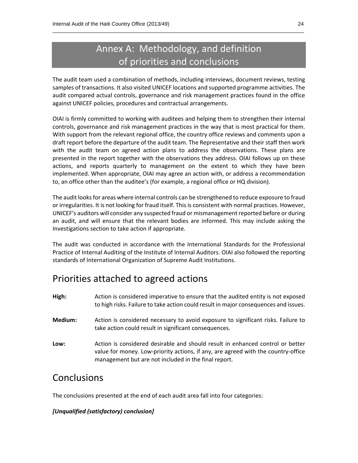### Annex A: Methodology, and definition of priorities and conclusions

 $\overline{\phantom{a}}$  ,  $\overline{\phantom{a}}$  ,  $\overline{\phantom{a}}$  ,  $\overline{\phantom{a}}$  ,  $\overline{\phantom{a}}$  ,  $\overline{\phantom{a}}$  ,  $\overline{\phantom{a}}$  ,  $\overline{\phantom{a}}$  ,  $\overline{\phantom{a}}$  ,  $\overline{\phantom{a}}$  ,  $\overline{\phantom{a}}$  ,  $\overline{\phantom{a}}$  ,  $\overline{\phantom{a}}$  ,  $\overline{\phantom{a}}$  ,  $\overline{\phantom{a}}$  ,  $\overline{\phantom{a}}$ 

The audit team used a combination of methods, including interviews, document reviews, testing samples of transactions. It also visited UNICEF locations and supported programme activities. The audit compared actual controls, governance and risk management practices found in the office against UNICEF policies, procedures and contractual arrangements.

OIAI is firmly committed to working with auditees and helping them to strengthen their internal controls, governance and risk management practices in the way that is most practical for them. With support from the relevant regional office, the country office reviews and comments upon a draft report before the departure of the audit team. The Representative and their staff then work with the audit team on agreed action plans to address the observations. These plans are presented in the report together with the observations they address. OIAI follows up on these actions, and reports quarterly to management on the extent to which they have been implemented. When appropriate, OIAI may agree an action with, or address a recommendation to, an office other than the auditee's (for example, a regional office or HQ division).

The audit looks for areas where internal controls can be strengthened to reduce exposure to fraud or irregularities. It is not looking for fraud itself. This is consistent with normal practices. However, UNICEF's auditors will consider any suspected fraud or mismanagement reported before or during an audit, and will ensure that the relevant bodies are informed. This may include asking the Investigations section to take action if appropriate.

The audit was conducted in accordance with the International Standards for the Professional Practice of Internal Auditing of the Institute of Internal Auditors. OIAI also followed the reporting standards of International Organization of Supreme Audit Institutions.

### Priorities attached to agreed actions

- **High:** Action is considered imperative to ensure that the audited entity is not exposed to high risks. Failure to take action could result in major consequences and issues.
- **Medium:** Action is considered necessary to avoid exposure to significant risks. Failure to take action could result in significant consequences.
- **Low:** Action is considered desirable and should result in enhanced control or better value for money. Low‐priority actions, if any, are agreed with the country‐office management but are not included in the final report.

### **Conclusions**

The conclusions presented at the end of each audit area fall into four categories:

### *[Unqualified (satisfactory) conclusion]*